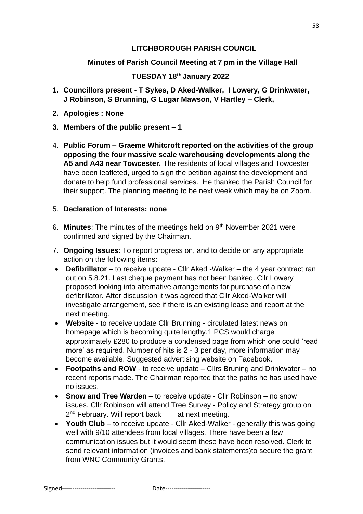# **LITCHBOROUGH PARISH COUNCIL**

# **Minutes of Parish Council Meeting at 7 pm in the Village Hall**

# **TUESDAY 18th January 2022**

- **1. Councillors present - T Sykes, D Aked-Walker, I Lowery, G Drinkwater, J Robinson, S Brunning, G Lugar Mawson, V Hartley – Clerk,**
- **2. Apologies : None**
- **3. Members of the public present – 1**
- 4. **Public Forum – Graeme Whitcroft reported on the activities of the group opposing the four massive scale warehousing developments along the A5 and A43 near Towcester.** The residents of local villages and Towcester have been leafleted, urged to sign the petition against the development and donate to help fund professional services. He thanked the Parish Council for their support. The planning meeting to be next week which may be on Zoom.

### 5. **Declaration of Interests: none**

- 6. **Minutes**: The minutes of the meetings held on 9th November 2021 were confirmed and signed by the Chairman.
- 7. **Ongoing Issues**: To report progress on, and to decide on any appropriate action on the following items:
- **Defibrillator** to receive update Cllr Aked -Walker the 4 year contract ran out on 5.8.21. Last cheque payment has not been banked. Cllr Lowery proposed looking into alternative arrangements for purchase of a new defibrillator. After discussion it was agreed that Cllr Aked-Walker will investigate arrangement, see if there is an existing lease and report at the next meeting.
- **Website** to receive update Cllr Brunning circulated latest news on homepage which is becoming quite lengthy.1 PCS would charge approximately £280 to produce a condensed page from which one could 'read more' as required. Number of hits is 2 - 3 per day, more information may become available. Suggested advertising website on Facebook.
- **Footpaths and ROW** to receive update Cllrs Bruning and Drinkwater no recent reports made. The Chairman reported that the paths he has used have no issues.
- **Snow and Tree Warden** to receive update Cllr Robinson no snow issues. Cllr Robinson will attend Tree Survey - Policy and Strategy group on 2<sup>nd</sup> February. Will report back at next meeting.
- **Youth Club** to receive update Cllr Aked-Walker generally this was going well with 9/10 attendees from local villages. There have been a few communication issues but it would seem these have been resolved. Clerk to send relevant information (invoices and bank statements)to secure the grant from WNC Community Grants.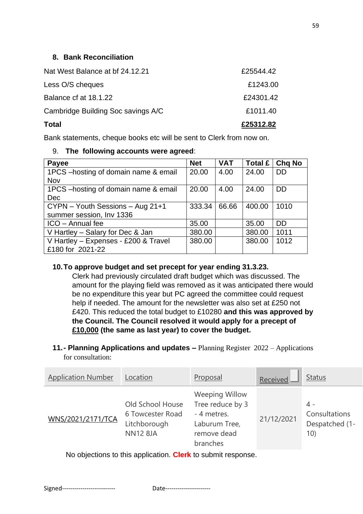### **8. Bank Reconciliation**

| <b>Total</b>                       | £25312.82 |
|------------------------------------|-----------|
| Cambridge Building Soc savings A/C | £1011.40  |
| Balance cf at 18.1.22              | £24301.42 |
| Less O/S cheques                   | £1243.00  |
| Nat West Balance at bf 24.12.21    | £25544.42 |

Bank statements, cheque books etc will be sent to Clerk from now on.

#### 9. **The following accounts were agreed**:

| Payee                                 | <b>Net</b> | <b>VAT</b> | Total £ | <b>Chq No</b> |
|---------------------------------------|------------|------------|---------|---------------|
| 1PCS - hosting of domain name & email | 20.00      | 4.00       | 24.00   | DD.           |
| Nov                                   |            |            |         |               |
| 1PCS - hosting of domain name & email | 20.00      | 4.00       | 24.00   | DD.           |
| <b>Dec</b>                            |            |            |         |               |
| CYPN - Youth Sessions - Aug 21+1      | 333.34     | 66.66      | 400.00  | 1010          |
| summer session, Inv 1336              |            |            |         |               |
| ICO - Annual fee                      | 35.00      |            | 35.00   | DD.           |
| V Hartley - Salary for Dec & Jan      | 380.00     |            | 380.00  | 1011          |
| V Hartley - Expenses - £200 & Travel  | 380.00     |            | 380.00  | 1012          |
| £180 for 2021-22                      |            |            |         |               |

### **10.To approve budget and set precept for year ending 31.3.23.**

Clerk had previously circulated draft budget which was discussed. The amount for the playing field was removed as it was anticipated there would be no expenditure this year but PC agreed the committee could request help if needed. The amount for the newsletter was also set at £250 not £420. This reduced the total budget to £10280 **and this was approved by the Council. The Council resolved it would apply for a precept of £10,000 (the same as last year) to cover the budget.**

#### **11.- Planning Applications and updates –** Planning Register 2022 – Applications for consultation:

| <b>Application Number</b> | Location                                                                | Proposal                                                                                             | Received   | <b>Status</b>                                 |
|---------------------------|-------------------------------------------------------------------------|------------------------------------------------------------------------------------------------------|------------|-----------------------------------------------|
| WNS/2021/2171/TCA         | Old School House<br>6 Towcester Road<br>Litchborough<br><b>NN12 8JA</b> | <b>Weeping Willow</b><br>Tree reduce by 3<br>- 4 metres.<br>Laburum Tree,<br>remove dead<br>branches | 21/12/2021 | 4 -<br>Consultations<br>Despatched (1-<br>10) |

No objections to this application. **Clerk** to submit response.